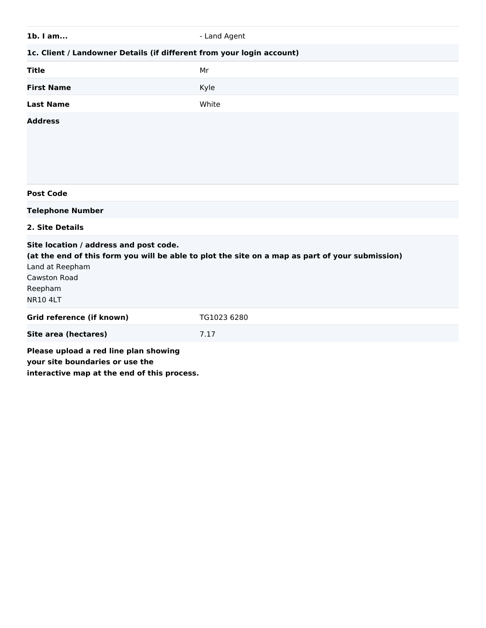| 1b. I am                                                                                                                                                                                                          | - Land Agent |  |
|-------------------------------------------------------------------------------------------------------------------------------------------------------------------------------------------------------------------|--------------|--|
| 1c. Client / Landowner Details (if different from your login account)                                                                                                                                             |              |  |
| <b>Title</b>                                                                                                                                                                                                      | Mr           |  |
| <b>First Name</b>                                                                                                                                                                                                 | Kyle         |  |
| <b>Last Name</b>                                                                                                                                                                                                  | White        |  |
| <b>Address</b>                                                                                                                                                                                                    |              |  |
| <b>Post Code</b>                                                                                                                                                                                                  |              |  |
| <b>Telephone Number</b>                                                                                                                                                                                           |              |  |
| 2. Site Details                                                                                                                                                                                                   |              |  |
| Site location / address and post code.<br>(at the end of this form you will be able to plot the site on a map as part of your submission)<br>Land at Reepham<br><b>Cawston Road</b><br>Reepham<br><b>NR10 4LT</b> |              |  |
| Grid reference (if known)                                                                                                                                                                                         | TG1023 6280  |  |
| <b>Site area (hectares)</b>                                                                                                                                                                                       | 7.17         |  |
| Please upload a red line plan showing<br>your site boundaries or use the<br>interactive map at the end of this process.                                                                                           |              |  |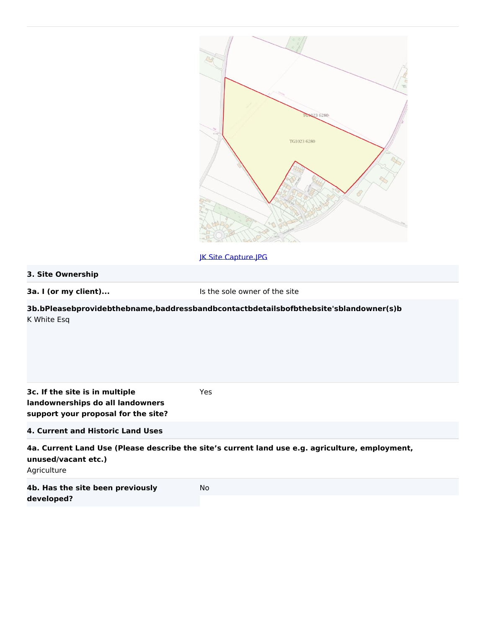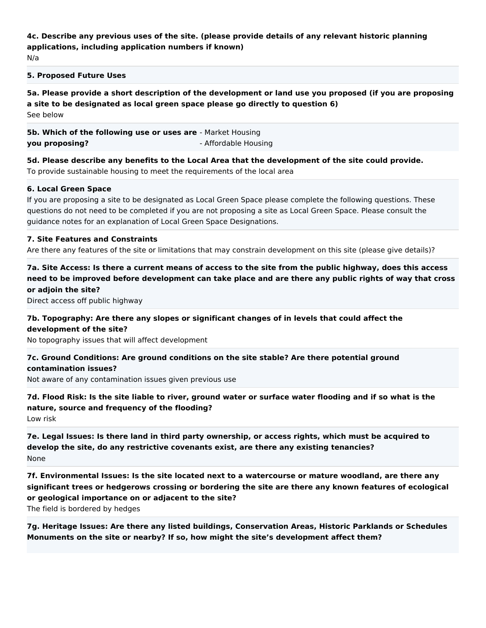# **4c. Describe any previous uses of the site. (please provide details of any relevant historic planning applications, including application numbers if known)**

N/a

#### **5. Proposed Future Uses**

**5a. Please provide a short description of the development or land use you proposed (if you are proposing a site to be designated as local green space please go directly to question 6)** See below

**5b. Which of the following use or uses are** - Market Housing **you proposing?** - Affordable Housing

**5d. Please describe any benefits to the Local Area that the development of the site could provide.** To provide sustainable housing to meet the requirements of the local area

#### **6. Local Green Space**

If you are proposing a site to be designated as Local Green Space please complete the following questions. These questions do not need to be completed if you are not proposing a site as Local Green Space. Please consult the guidance notes for an explanation of Local Green Space Designations.

#### **7. Site Features and Constraints**

Are there any features of the site or limitations that may constrain development on this site (please give details)?

## **7a. Site Access: Is there a current means of access to the site from the public highway, does this access need to be improved before development can take place and are there any public rights of way that cross or adjoin the site?**

Direct access off public highway

## **7b. Topography: Are there any slopes or significant changes of in levels that could affect the development of the site?**

No topography issues that will affect development

## **7c. Ground Conditions: Are ground conditions on the site stable? Are there potential ground contamination issues?**

Not aware of any contamination issues given previous use

**7d. Flood Risk: Is the site liable to river, ground water or surface water flooding and if so what is the nature, source and frequency of the flooding?**

Low risk

**7e. Legal Issues: Is there land in third party ownership, or access rights, which must be acquired to develop the site, do any restrictive covenants exist, are there any existing tenancies?** None

**7f. Environmental Issues: Is the site located next to a watercourse or mature woodland, are there any significant trees or hedgerows crossing or bordering the site are there any known features of ecological or geological importance on or adjacent to the site?**

The field is bordered by hedges

**7g. Heritage Issues: Are there any listed buildings, Conservation Areas, Historic Parklands or Schedules Monuments on the site or nearby? If so, how might the site's development affect them?**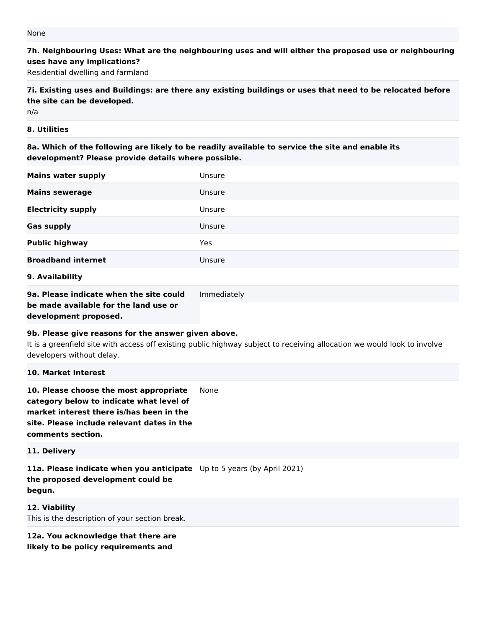**7h. Neighbouring Uses: What are the neighbouring uses and will either the proposed use or neighbouring uses have any implications?**

Residential dwelling and farmland

**7i. Existing uses and Buildings: are there any existing buildings or uses that need to be relocated before the site can be developed.**

n/a

#### **8. Utilities**

**8a. Which of the following are likely to be readily available to service the site and enable its development? Please provide details where possible.**

| <b>Mains water supply</b>               | Unsure      |
|-----------------------------------------|-------------|
| <b>Mains sewerage</b>                   | Unsure      |
| <b>Electricity supply</b>               | Unsure      |
| <b>Gas supply</b>                       | Unsure      |
| <b>Public highway</b>                   | Yes         |
| <b>Broadband internet</b>               | Unsure      |
| 9. Availability                         |             |
| 9a. Please indicate when the site could | Immediately |

**be made available for the land use or development proposed.**

## **9b. Please give reasons for the answer given above.**

It is a greenfield site with access off existing public highway subject to receiving allocation we would look to involve developers without delay.

#### **10. Market Interest**

**10. Please choose the most appropriate category below to indicate what level of market interest there is/has been in the site. Please include relevant dates in the comments section.** None

**11. Delivery**

**11a. Please indicate when you anticipate**  Up to 5 years (by April 2021) **the proposed development could be begun.**

**12. Viability** This is the description of your section break.

**12a. You acknowledge that there are likely to be policy requirements and**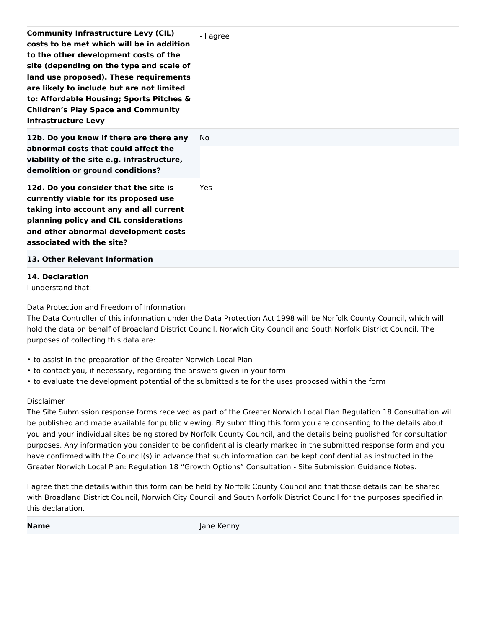| <b>Community Infrastructure Levy (CIL)</b><br>costs to be met which will be in addition<br>to the other development costs of the<br>site (depending on the type and scale of<br>land use proposed). These requirements<br>are likely to include but are not limited<br>to: Affordable Housing; Sports Pitches &<br><b>Children's Play Space and Community</b><br><b>Infrastructure Levy</b> | - I agree  |
|---------------------------------------------------------------------------------------------------------------------------------------------------------------------------------------------------------------------------------------------------------------------------------------------------------------------------------------------------------------------------------------------|------------|
| 12b. Do you know if there are there any<br>abnormal costs that could affect the<br>viability of the site e.g. infrastructure,<br>demolition or ground conditions?                                                                                                                                                                                                                           | No.        |
| 12d. Do you consider that the site is<br>currently viable for its proposed use<br>taking into account any and all current<br>planning policy and CIL considerations<br>and other abnormal development costs<br>associated with the site?                                                                                                                                                    | <b>Yes</b> |
| 13. Other Relevant Information                                                                                                                                                                                                                                                                                                                                                              |            |

## **14. Declaration**

I understand that:

Data Protection and Freedom of Information

The Data Controller of this information under the Data Protection Act 1998 will be Norfolk County Council, which will hold the data on behalf of Broadland District Council, Norwich City Council and South Norfolk District Council. The purposes of collecting this data are:

- to assist in the preparation of the Greater Norwich Local Plan
- to contact you, if necessary, regarding the answers given in your form
- to evaluate the development potential of the submitted site for the uses proposed within the form

## Disclaimer

The Site Submission response forms received as part of the Greater Norwich Local Plan Regulation 18 Consultation will be published and made available for public viewing. By submitting this form you are consenting to the details about you and your individual sites being stored by Norfolk County Council, and the details being published for consultation purposes. Any information you consider to be confidential is clearly marked in the submitted response form and you have confirmed with the Council(s) in advance that such information can be kept confidential as instructed in the Greater Norwich Local Plan: Regulation 18 "Growth Options" Consultation - Site Submission Guidance Notes.

I agree that the details within this form can be held by Norfolk County Council and that those details can be shared with Broadland District Council, Norwich City Council and South Norfolk District Council for the purposes specified in this declaration.

**Name** Jane Kenny